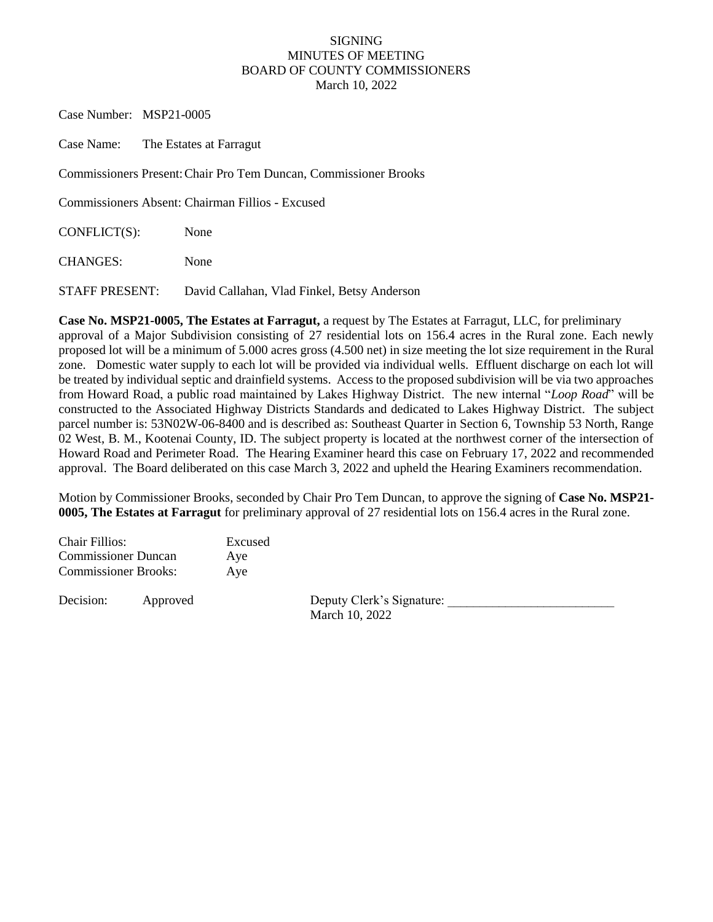## SIGNING MINUTES OF MEETING BOARD OF COUNTY COMMISSIONERS March 10, 2022

Case Number: MSP21-0005

Case Name: The Estates at Farragut

Commissioners Present:Chair Pro Tem Duncan, Commissioner Brooks

Commissioners Absent: Chairman Fillios - Excused

CONFLICT(S): None

CHANGES: None

STAFF PRESENT: David Callahan, Vlad Finkel, Betsy Anderson

**Case No. MSP21-0005, The Estates at Farragut,** a request by The Estates at Farragut, LLC, for preliminary approval of a Major Subdivision consisting of 27 residential lots on 156.4 acres in the Rural zone. Each newly proposed lot will be a minimum of 5.000 acres gross (4.500 net) in size meeting the lot size requirement in the Rural zone. Domestic water supply to each lot will be provided via individual wells. Effluent discharge on each lot will be treated by individual septic and drainfield systems. Access to the proposed subdivision will be via two approaches from Howard Road, a public road maintained by Lakes Highway District. The new internal "*Loop Road*" will be constructed to the Associated Highway Districts Standards and dedicated to Lakes Highway District. The subject parcel number is: 53N02W-06-8400 and is described as: Southeast Quarter in Section 6, Township 53 North, Range 02 West, B. M., Kootenai County, ID. The subject property is located at the northwest corner of the intersection of Howard Road and Perimeter Road. The Hearing Examiner heard this case on February 17, 2022 and recommended approval. The Board deliberated on this case March 3, 2022 and upheld the Hearing Examiners recommendation.

Motion by Commissioner Brooks, seconded by Chair Pro Tem Duncan, to approve the signing of **Case No. MSP21- 0005, The Estates at Farragut** for preliminary approval of 27 residential lots on 156.4 acres in the Rural zone.

| <b>Chair Fillios:</b>       |          | Excused |                                             |  |
|-----------------------------|----------|---------|---------------------------------------------|--|
| <b>Commissioner Duncan</b>  |          | Aye     |                                             |  |
| <b>Commissioner Brooks:</b> |          | Ave     |                                             |  |
| Decision:                   | Approved |         | Deputy Clerk's Signature:<br>March 10, 2022 |  |